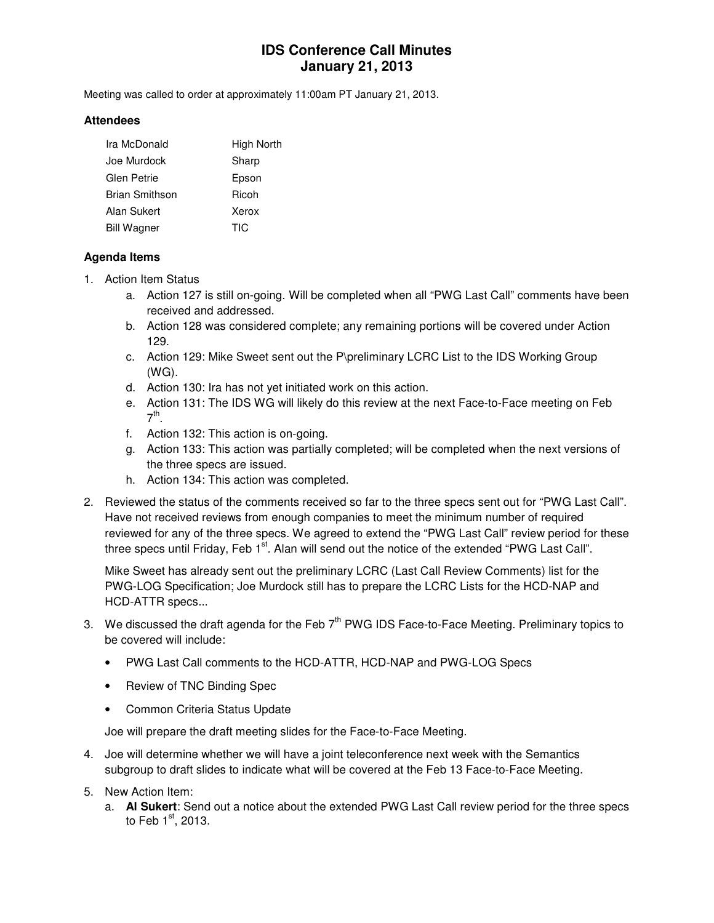## **IDS Conference Call Minutes January 21, 2013**

Meeting was called to order at approximately 11:00am PT January 21, 2013.

#### **Attendees**

| Ira McDonald       | High North |
|--------------------|------------|
| Joe Murdock        | Sharp      |
| <b>Glen Petrie</b> | Epson      |
| Brian Smithson     | Ricoh      |
| Alan Sukert        | Xerox      |
| <b>Bill Wagner</b> | TIC        |

#### **Agenda Items**

- 1. Action Item Status
	- a. Action 127 is still on-going. Will be completed when all "PWG Last Call" comments have been received and addressed.
	- b. Action 128 was considered complete; any remaining portions will be covered under Action 129.
	- c. Action 129: Mike Sweet sent out the P\preliminary LCRC List to the IDS Working Group (WG).
	- d. Action 130: Ira has not yet initiated work on this action.
	- e. Action 131: The IDS WG will likely do this review at the next Face-to-Face meeting on Feb 7<sup>th</sup>.
	- f. Action 132: This action is on-going.
	- g. Action 133: This action was partially completed; will be completed when the next versions of the three specs are issued.
	- h. Action 134: This action was completed.
- 2. Reviewed the status of the comments received so far to the three specs sent out for "PWG Last Call". Have not received reviews from enough companies to meet the minimum number of required reviewed for any of the three specs. We agreed to extend the "PWG Last Call" review period for these three specs until Friday, Feb 1<sup>st</sup>. Alan will send out the notice of the extended "PWG Last Call".

Mike Sweet has already sent out the preliminary LCRC (Last Call Review Comments) list for the PWG-LOG Specification; Joe Murdock still has to prepare the LCRC Lists for the HCD-NAP and HCD-ATTR specs...

- 3. We discussed the draft agenda for the Feb  $7<sup>th</sup>$  PWG IDS Face-to-Face Meeting. Preliminary topics to be covered will include:
	- PWG Last Call comments to the HCD-ATTR, HCD-NAP and PWG-LOG Specs
	- Review of TNC Binding Spec
	- Common Criteria Status Update

Joe will prepare the draft meeting slides for the Face-to-Face Meeting.

- 4. Joe will determine whether we will have a joint teleconference next week with the Semantics subgroup to draft slides to indicate what will be covered at the Feb 13 Face-to-Face Meeting.
- 5. New Action Item:
	- a. **Al Sukert**: Send out a notice about the extended PWG Last Call review period for the three specs to Feb  $1<sup>st</sup>$ , 2013.